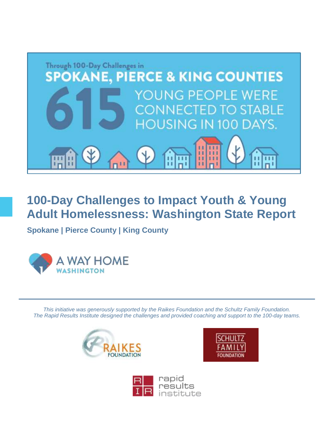

**100-Day Challenges to Impact Youth & Young Adult Homelessness: Washington State Report**

**Spokane | Pierce County | King County**



*This initiative was generously supported by the Raikes Foundation and the Schultz Family Foundation. The Rapid Results Institute designed the challenges and provided coaching and support to the 100-day teams.* 





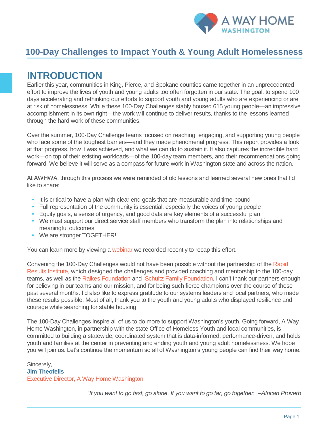

### **100-Day Challenges to Impact Youth & Young Adult Homelessness**

### **INTRODUCTION**

Earlier this year, communities in King, Pierce, and Spokane counties came together in an unprecedented effort to improve the lives of youth and young adults too often forgotten in our state. The goal: to spend 100 days accelerating and rethinking our efforts to support youth and young adults who are experiencing or are at risk of homelessness. While these 100-Day Challenges stably housed 615 young people—an impressive accomplishment in its own right—the work will continue to deliver results, thanks to the lessons learned through the hard work of these communities.

Over the summer, 100-Day Challenge teams focused on reaching, engaging, and supporting young people who face some of the toughest barriers—and they made phenomenal progress. This report provides a look at that progress, how it was achieved, and what we can do to sustain it. It also captures the incredible hard work—on top of their existing workloads—of the 100-day team members, and their recommendations going forward. We believe it will serve as a compass for future work in Washington state and across the nation.

At AWHWA, through this process we were reminded of old lessons and learned several new ones that I'd like to share:

- It is critical to have a plan with clear end goals that are measurable and time-bound
- Full representation of the community is essential, especially the voices of young people
- **•** Equity goals, a sense of urgency, and good data are key elements of a successful plan
- We must support our direct service staff members who transform the plan into relationships and meaningful outcomes
- **•** We are stronger TOGETHER!

You can learn more by viewing [a webinar](https://register.gotowebinar.com/register/1762673655805827586) we recorded recently to recap this effort.

Convening the 100-Day Challenges would not have been possible without the partnership of th[e Rapid](https://www.rapidresults.org/)  [Results Institute,](https://www.rapidresults.org/) which designed the challenges and provided coaching and mentorship to the 100-day teams, as well as the [Raikes Foundation](https://raikesfoundation.org/) and [Schultz Family Foundation.](https://schultzfamilyfoundation.org/) I can't thank our partners enough for believing in our teams and our mission, and for being such fierce champions over the course of these past several months. I'd also like to express gratitude to our systems leaders and local partners, who made these results possible. Most of all, thank you to the youth and young adults who displayed resilience and courage while searching for stable housing.

The 100-Day Challenges inspire all of us to do more to support Washington's youth. Going forward, A Way Home Washington, in partnership with the state Office of Homeless Youth and local communities, is committed to building a statewide, coordinated system that is data-informed, performance-driven, and holds youth and families at the center in preventing and ending youth and young adult homelessness. We hope you will join us. Let's continue the momentum so all of Washington's young people can find their way home.

Sincerely, **Jim Theofelis** Executive Director, A Way Home Washington

*"If you want to go fast, go alone. If you want to go far, go together." –African Proverb*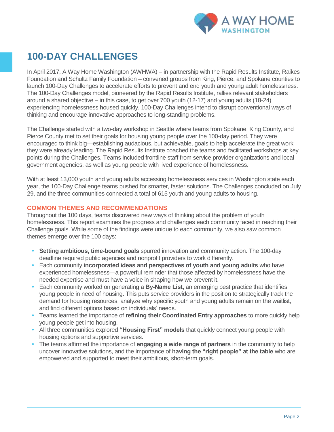

### **100-DAY CHALLENGES**

In April 2017, A Way Home Washington (AWHWA) – in partnership with the Rapid Results Institute, Raikes Foundation and Schultz Family Foundation – convened groups from King, Pierce, and Spokane counties to launch 100-Day Challenges to accelerate efforts to prevent and end youth and young adult homelessness. The 100-Day Challenges model, pioneered by the Rapid Results Institute, rallies relevant stakeholders around a shared objective – in this case, to get over 700 youth (12-17) and young adults (18-24) experiencing homelessness housed quickly. 100-Day Challenges intend to disrupt conventional ways of thinking and encourage innovative approaches to long-standing problems.

The Challenge started with a two-day workshop in Seattle where teams from Spokane, King County, and Pierce County met to set their goals for housing young people over the 100-day period. They were encouraged to think big—establishing audacious, but achievable, goals to help accelerate the great work they were already leading. The Rapid Results Institute coached the teams and facilitated workshops at key points during the Challenges. Teams included frontline staff from service provider organizations and local government agencies, as well as young people with lived experience of homelessness.

With at least 13,000 youth and young adults accessing homelessness services in Washington state each year, the 100-Day Challenge teams pushed for smarter, faster solutions. The Challenges concluded on July 29, and the three communities connected a total of 615 youth and young adults to housing.

### **COMMON THEMES AND RECOMMENDATIONS**

Throughout the 100 days, teams discovered new ways of thinking about the problem of youth homelessness. This report examines the progress and challenges each community faced in reaching their Challenge goals. While some of the findings were unique to each community, we also saw common themes emerge over the 100 days:

- **• Setting ambitious, time-bound goals** spurred innovation and community action. The 100-day deadline required public agencies and nonprofit providers to work differently.
- **•** Each community **incorporated ideas and perspectives of youth and young adults** who have experienced homelessness—a powerful reminder that those affected by homelessness have the needed expertise and must have a voice in shaping how we prevent it.
- **•** Each community worked on generating a **By-Name List,** an emerging best practice that identifies young people in need of housing. This puts service providers in the position to strategically track the demand for housing resources, analyze why specific youth and young adults remain on the waitlist, and find different options based on individuals' needs.
- **•** Teams learned the importance of **refining their Coordinated Entry approaches** to more quickly help young people get into housing.
- **•** All three communities explored **"Housing First" models** that quickly connect young people with housing options and supportive services.
- **•** The teams affirmed the importance of **engaging a wide range of partners** in the community to help uncover innovative solutions, and the importance of **having the "right people" at the table** who are empowered and supported to meet their ambitious, short-term goals.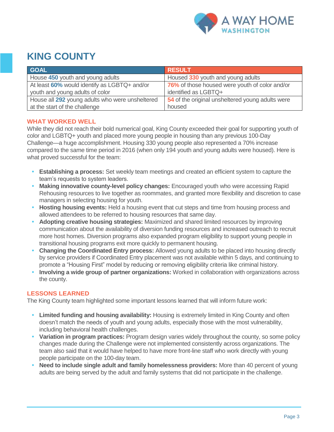

### **KING COUNTY**

| <b>GOAL</b>                                     | <b>RESULT</b>                                    |
|-------------------------------------------------|--------------------------------------------------|
| House 450 youth and young adults                | Housed 330 youth and young adults                |
| At least 60% would identify as LGBTQ+ and/or    | 76% of those housed were youth of color and/or   |
| youth and young adults of color                 | identified as LGBTQ+                             |
| House all 292 young adults who were unsheltered | 54 of the original unsheltered young adults were |
| at the start of the challenge                   | housed                                           |

### **WHAT WORKED WELL**

While they did not reach their bold numerical goal, King County exceeded their goal for supporting youth of color and LGBTQ+ youth and placed more young people in housing than any previous 100-Day Challenge—a huge accomplishment. Housing 330 young people also represented a 70% increase compared to the same time period in 2016 (when only 194 youth and young adults were housed). Here is what proved successful for the team:

- **• Establishing a process:** Set weekly team meetings and created an efficient system to capture the team's requests to system leaders.
- **• Making innovative county-level policy changes:** Encouraged youth who were accessing Rapid Rehousing resources to live together as roommates, and granted more flexibility and discretion to case managers in selecting housing for youth.
- **• Hosting housing events:** Held a housing event that cut steps and time from housing process and allowed attendees to be referred to housing resources that same day.
- **• Adopting creative housing strategies:** Maximized and shared limited resources by improving communication about the availability of diversion funding resources and increased outreach to recruit more host homes. Diversion programs also expanded program eligibility to support young people in transitional housing programs exit more quickly to permanent housing.
- **• Changing the Coordinated Entry process:** Allowed young adults to be placed into housing directly by service providers if Coordinated Entry placement was not available within 5 days, and continuing to promote a "Housing First" model by reducing or removing eligibility criteria like criminal history.
- **• Involving a wide group of partner organizations:** Worked in collaboration with organizations across the county.

### **LESSONS LEARNED**

The King County team highlighted some important lessons learned that will inform future work:

- **• Limited funding and housing availability:** Housing is extremely limited in King County and often doesn't match the needs of youth and young adults, especially those with the most vulnerability, including behavioral health challenges.
- **Variation in program practices:** Program design varies widely throughout the county, so some policy changes made during the Challenge were not implemented consistently across organizations. The team also said that it would have helped to have more front-line staff who work directly with young people participate on the 100-day team.
- **• Need to include single adult and family homelessness providers:** More than 40 percent of young adults are being served by the adult and family systems that did not participate in the challenge.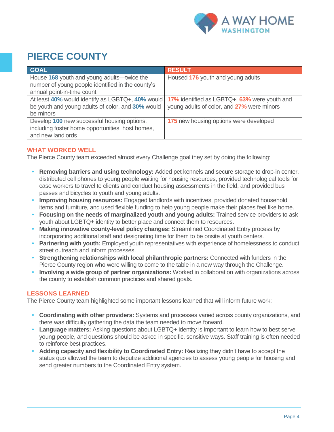

## **PIERCE COUNTY**

| <b>GOAL</b>                                       | <b>RESULT</b>                                 |
|---------------------------------------------------|-----------------------------------------------|
| House 168 youth and young adults—twice the        | Housed 176 youth and young adults             |
| number of young people identified in the county's |                                               |
| annual point-in-time count                        |                                               |
| At least 40% would identify as LGBTQ+, 40% would  | 17% identified as LGBTQ+, 63% were youth and  |
| be youth and young adults of color, and 30% would | young adults of color, and 27% were minors    |
| be minors                                         |                                               |
| Develop 100 new successful housing options,       | <b>175</b> new housing options were developed |
| including foster home opportunities, host homes,  |                                               |
| and new landlords                                 |                                               |

### **WHAT WORKED WELL**

The Pierce County team exceeded almost every Challenge goal they set by doing the following:

- **• Removing barriers and using technology:** Added pet kennels and secure storage to drop-in center, distributed cell phones to young people waiting for housing resources, provided technological tools for case workers to travel to clients and conduct housing assessments in the field, and provided bus passes and bicycles to youth and young adults.
- **• Improving housing resources:** Engaged landlords with incentives, provided donated household items and furniture, and used flexible funding to help young people make their places feel like home.
- **Focusing on the needs of marginalized youth and young adults: Trained service providers to ask** youth about LGBTQ+ identity to better place and connect them to resources.
- **• Making innovative county-level policy changes:** Streamlined Coordinated Entry process by incorporating additional staff and designating time for them to be onsite at youth centers.
- **Partnering with youth:** Employed youth representatives with experience of homelessness to conduct street outreach and inform processes.
- **• Strengthening relationships with local philanthropic partners:** Connected with funders in the Pierce County region who were willing to come to the table in a new way through the Challenge.
- **• Involving a wide group of partner organizations:** Worked in collaboration with organizations across the county to establish common practices and shared goals.

### **LESSONS LEARNED**

The Pierce County team highlighted some important lessons learned that will inform future work:

- **• Coordinating with other providers:** Systems and processes varied across county organizations, and there was difficulty gathering the data the team needed to move forward.
- **• Language matters:** Asking questions about LGBTQ+ identity is important to learn how to best serve young people, and questions should be asked in specific, sensitive ways. Staff training is often needed to reinforce best practices.
- **Adding capacity and flexibility to Coordinated Entry:** Realizing they didn't have to accept the status quo allowed the team to deputize additional agencies to assess young people for housing and send greater numbers to the Coordinated Entry system.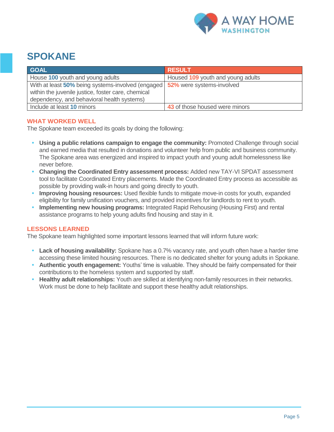

### **SPOKANE**

| <b>GOAL</b>                                                                                                                                            | <b>RESULT</b>                     |
|--------------------------------------------------------------------------------------------------------------------------------------------------------|-----------------------------------|
| House 100 youth and young adults                                                                                                                       | Housed 109 youth and young adults |
| With at least 50% being systems-involved (engaged)<br>within the juvenile justice, foster care, chemical<br>dependency, and behavioral health systems) | 52% were systems-involved         |
| Include at least 10 minors                                                                                                                             | 43 of those housed were minors    |

### **WHAT WORKED WELL**

The Spokane team exceeded its goals by doing the following:

- **• Using a public relations campaign to engage the community:** Promoted Challenge through social and earned media that resulted in donations and volunteer help from public and business community. The Spokane area was energized and inspired to impact youth and young adult homelessness like never before.
- **• Changing the Coordinated Entry assessment process:** Added new TAY-VI SPDAT assessment tool to facilitate Coordinated Entry placements. Made the Coordinated Entry process as accessible as possible by providing walk-in hours and going directly to youth.
- **• Improving housing resources:** Used flexible funds to mitigate move-in costs for youth, expanded eligibility for family unification vouchers, and provided incentives for landlords to rent to youth.
- **• Implementing new housing programs:** Integrated Rapid Rehousing (Housing First) and rental assistance programs to help young adults find housing and stay in it.

### **LESSONS LEARNED**

The Spokane team highlighted some important lessons learned that will inform future work:

- **• Lack of housing availability:** Spokane has a 0.7% vacancy rate, and youth often have a harder time accessing these limited housing resources. There is no dedicated shelter for young adults in Spokane.
- **• Authentic youth engagement:** Youths' time is valuable. They should be fairly compensated for their contributions to the homeless system and supported by staff.
- **• Healthy adult relationships:** Youth are skilled at identifying non-family resources in their networks. Work must be done to help facilitate and support these healthy adult relationships.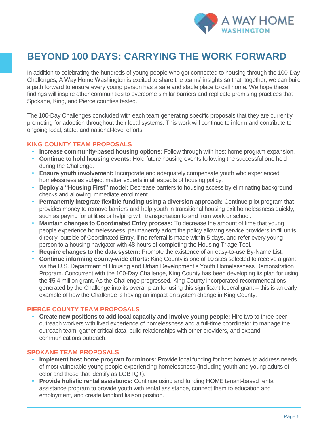

### **BEYOND 100 DAYS: CARRYING THE WORK FORWARD**

In addition to celebrating the hundreds of young people who got connected to housing through the 100-Day Challenges, A Way Home Washington is excited to share the teams' insights so that, together, we can build a path forward to ensure every young person has a safe and stable place to call home. We hope these findings will inspire other communities to overcome similar barriers and replicate promising practices that Spokane, King, and Pierce counties tested.

The 100-Day Challenges concluded with each team generating specific proposals that they are currently promoting for adoption throughout their local systems. This work will continue to inform and contribute to ongoing local, state, and national-level efforts.

#### **KING COUNTY TEAM PROPOSALS**

- **• Increase community-based housing options:** Follow through with host home program expansion.
- **• Continue to hold housing events:** Hold future housing events following the successful one held during the Challenge.
- **• Ensure youth involvement:** Incorporate and adequately compensate youth who experienced homelessness as subject matter experts in all aspects of housing policy.
- **• Deploy a "Housing First" model:** Decrease barriers to housing access by eliminating background checks and allowing immediate enrollment.
- **• Permanently integrate flexible funding using a diversion approach:** Continue pilot program that provides money to remove barriers and help youth in transitional housing exit homelessness quickly, such as paying for utilities or helping with transportation to and from work or school.
- **Maintain changes to Coordinated Entry process:** To decrease the amount of time that young people experience homelessness, permanently adopt the policy allowing service providers to fill units directly, outside of Coordinated Entry, if no referral is made within 5 days, and refer every young person to a housing navigator with 48 hours of completing the Housing Triage Tool.
- **• Require changes to the data system:** Promote the existence of an easy-to-use By-Name List.
- **• Continue informing county-wide efforts:** King County is one of 10 sites selected to receive a grant via the U.S. Department of Housing and Urban Development's Youth Homelessness Demonstration Program. Concurrent with the 100-Day Challenge, King County has been developing its plan for using the \$5.4 million grant. As the Challenge progressed, King County incorporated recommendations generated by the Challenge into its overall plan for using this significant federal grant – this is an early example of how the Challenge is having an impact on system change in King County.

#### **PIERCE COUNTY TEAM PROPOSALS**

**• Create new positions to add local capacity and involve young people:** Hire two to three peer outreach workers with lived experience of homelessness and a full-time coordinator to manage the outreach team, gather critical data, build relationships with other providers, and expand communications outreach.

#### **SPOKANE TEAM PROPOSALS**

- **Implement host home program for minors:** Provide local funding for host homes to address needs of most vulnerable young people experiencing homelessness (including youth and young adults of color and those that identify as LGBTQ+).
- **• Provide holistic rental assistance:** Continue using and funding HOME tenant-based rental assistance program to provide youth with rental assistance, connect them to education and employment, and create landlord liaison position.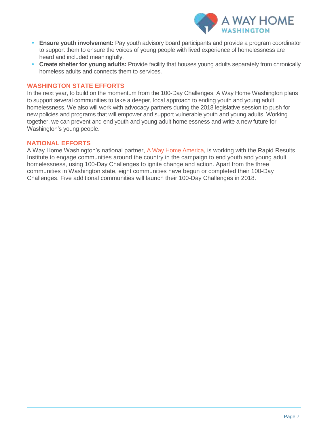

- **Ensure youth involvement:** Pay youth advisory board participants and provide a program coordinator to support them to ensure the voices of young people with lived experience of homelessness are heard and included meaningfully.
- **• Create shelter for young adults:** Provide facility that houses young adults separately from chronically homeless adults and connects them to services.

#### **WASHINGTON STATE EFFORTS**

In the next year, to build on the momentum from the 100-Day Challenges, A Way Home Washington plans to support several communities to take a deeper, local approach to ending youth and young adult homelessness. We also will work with advocacy partners during the 2018 legislative session to push for new policies and programs that will empower and support vulnerable youth and young adults. Working together, we can prevent and end youth and young adult homelessness and write a new future for Washington's young people.

#### **NATIONAL EFFORTS**

A Way Home Washington's national partner, [A Way Home America,](http://awayhomeamerica.org/) is working with the Rapid Results Institute to engage communities around the country in the campaign to end youth and young adult homelessness, using 100-Day Challenges to ignite change and action. Apart from the three communities in Washington state, eight communities have begun or completed their 100-Day Challenges. Five additional communities will launch their 100-Day Challenges in 2018.